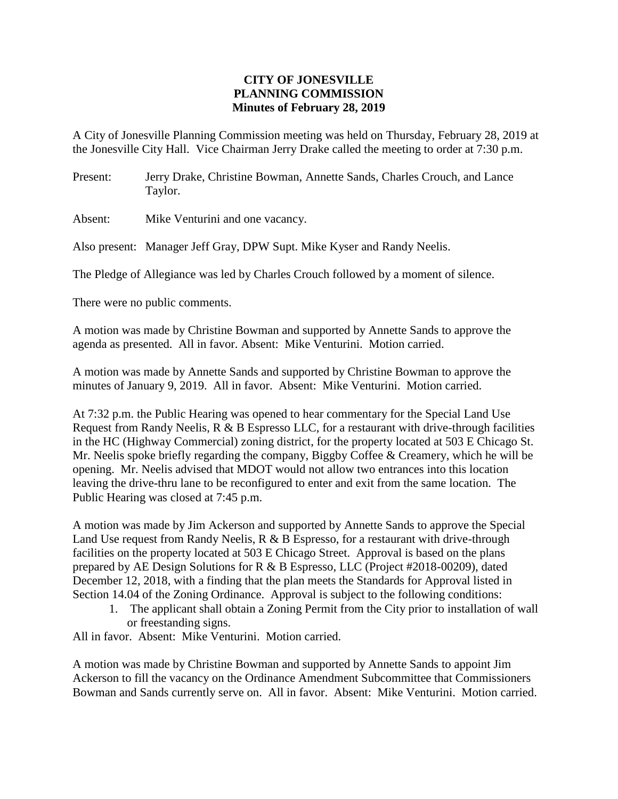## **CITY OF JONESVILLE PLANNING COMMISSION Minutes of February 28, 2019**

A City of Jonesville Planning Commission meeting was held on Thursday, February 28, 2019 at the Jonesville City Hall. Vice Chairman Jerry Drake called the meeting to order at 7:30 p.m.

Present: Jerry Drake, Christine Bowman, Annette Sands, Charles Crouch, and Lance Taylor.

Absent: Mike Venturini and one vacancy.

Also present: Manager Jeff Gray, DPW Supt. Mike Kyser and Randy Neelis.

The Pledge of Allegiance was led by Charles Crouch followed by a moment of silence.

There were no public comments.

A motion was made by Christine Bowman and supported by Annette Sands to approve the agenda as presented. All in favor. Absent: Mike Venturini. Motion carried.

A motion was made by Annette Sands and supported by Christine Bowman to approve the minutes of January 9, 2019. All in favor. Absent: Mike Venturini. Motion carried.

At 7:32 p.m. the Public Hearing was opened to hear commentary for the Special Land Use Request from Randy Neelis, R & B Espresso LLC, for a restaurant with drive-through facilities in the HC (Highway Commercial) zoning district, for the property located at 503 E Chicago St. Mr. Neelis spoke briefly regarding the company, Biggby Coffee & Creamery, which he will be opening. Mr. Neelis advised that MDOT would not allow two entrances into this location leaving the drive-thru lane to be reconfigured to enter and exit from the same location. The Public Hearing was closed at 7:45 p.m.

A motion was made by Jim Ackerson and supported by Annette Sands to approve the Special Land Use request from Randy Neelis, R & B Espresso, for a restaurant with drive-through facilities on the property located at 503 E Chicago Street. Approval is based on the plans prepared by AE Design Solutions for R & B Espresso, LLC (Project #2018-00209), dated December 12, 2018, with a finding that the plan meets the Standards for Approval listed in Section 14.04 of the Zoning Ordinance. Approval is subject to the following conditions:

1. The applicant shall obtain a Zoning Permit from the City prior to installation of wall or freestanding signs.

All in favor. Absent: Mike Venturini. Motion carried.

A motion was made by Christine Bowman and supported by Annette Sands to appoint Jim Ackerson to fill the vacancy on the Ordinance Amendment Subcommittee that Commissioners Bowman and Sands currently serve on. All in favor. Absent: Mike Venturini. Motion carried.